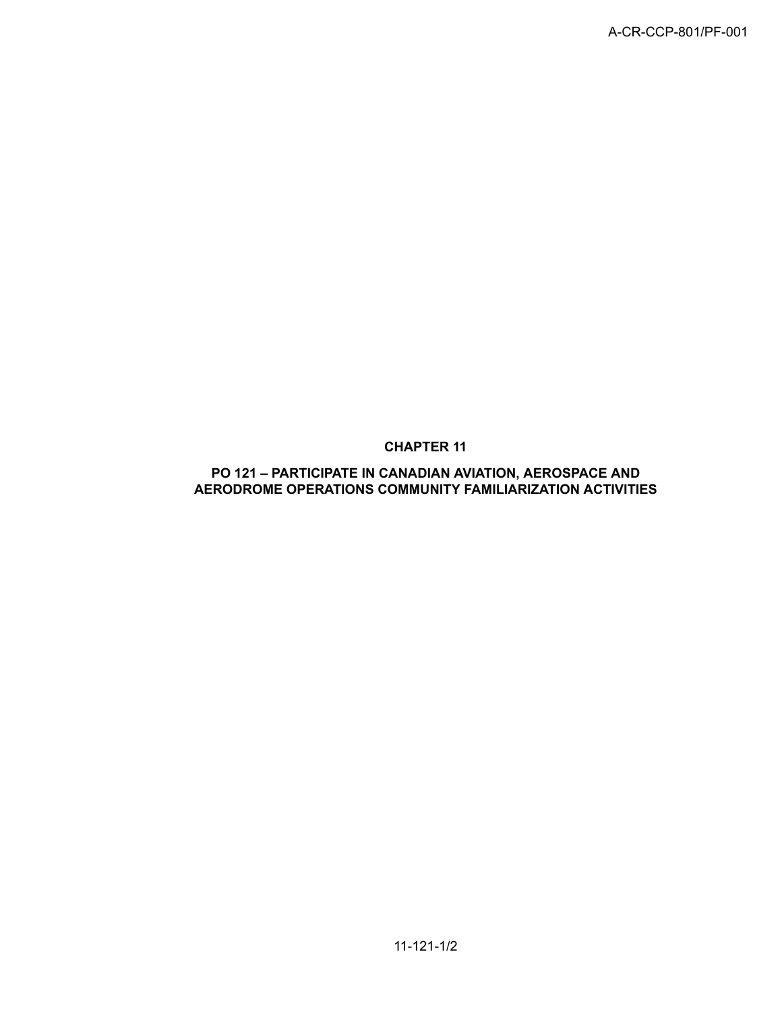## **CHAPTER 11**

**PO 121 – PARTICIPATE IN CANADIAN AVIATION, AEROSPACE AND AERODROME OPERATIONS COMMUNITY FAMILIARIZATION ACTIVITIES**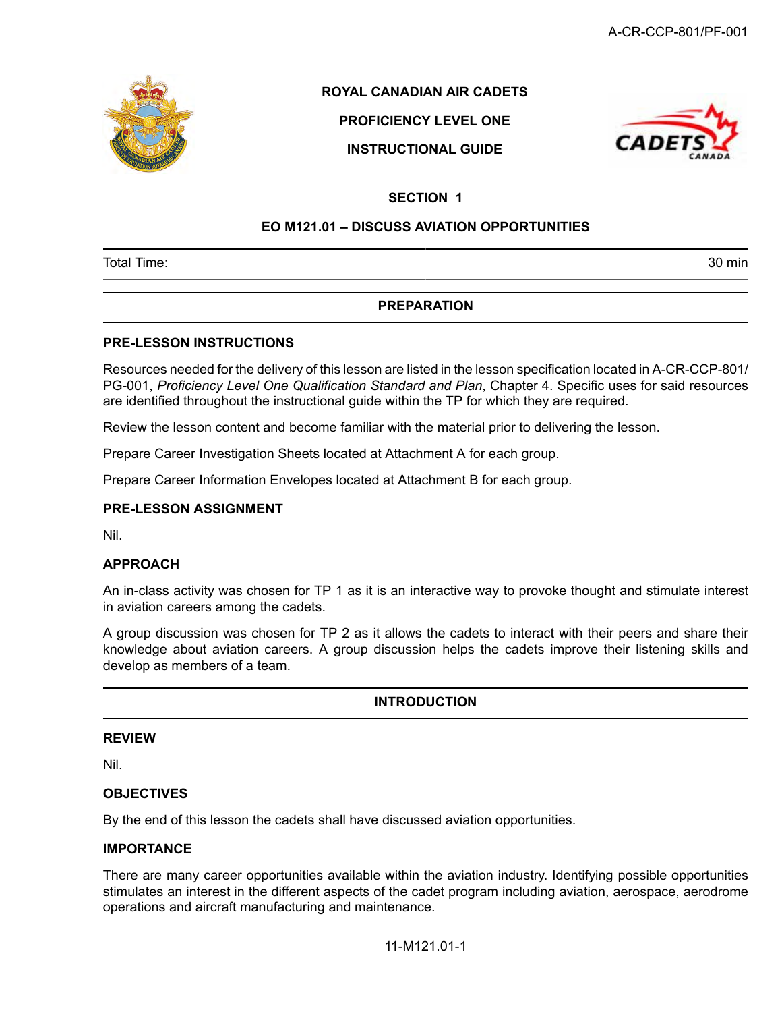

## **ROYAL CANADIAN AIR CADETS**

## **PROFICIENCY LEVEL ONE**

## **INSTRUCTIONAL GUIDE**



## **SECTION 1**

#### **EO M121.01 – DISCUSS AVIATION OPPORTUNITIES**

Total Time: 30 min

#### **PREPARATION**

#### **PRE-LESSON INSTRUCTIONS**

Resources needed for the delivery of this lesson are listed in the lesson specification located in A-CR-CCP-801/ PG-001, *Proficiency Level One Qualification Standard and Plan*, Chapter 4. Specific uses for said resources are identified throughout the instructional guide within the TP for which they are required.

Review the lesson content and become familiar with the material prior to delivering the lesson.

Prepare Career Investigation Sheets located at Attachment A for each group.

Prepare Career Information Envelopes located at Attachment B for each group.

## **PRE-LESSON ASSIGNMENT**

Nil.

#### **APPROACH**

An in-class activity was chosen for TP 1 as it is an interactive way to provoke thought and stimulate interest in aviation careers among the cadets.

A group discussion was chosen for TP 2 as it allows the cadets to interact with their peers and share their knowledge about aviation careers. A group discussion helps the cadets improve their listening skills and develop as members of a team.

#### **INTRODUCTION**

#### **REVIEW**

Nil.

#### **OBJECTIVES**

By the end of this lesson the cadets shall have discussed aviation opportunities.

#### **IMPORTANCE**

There are many career opportunities available within the aviation industry. Identifying possible opportunities stimulates an interest in the different aspects of the cadet program including aviation, aerospace, aerodrome operations and aircraft manufacturing and maintenance.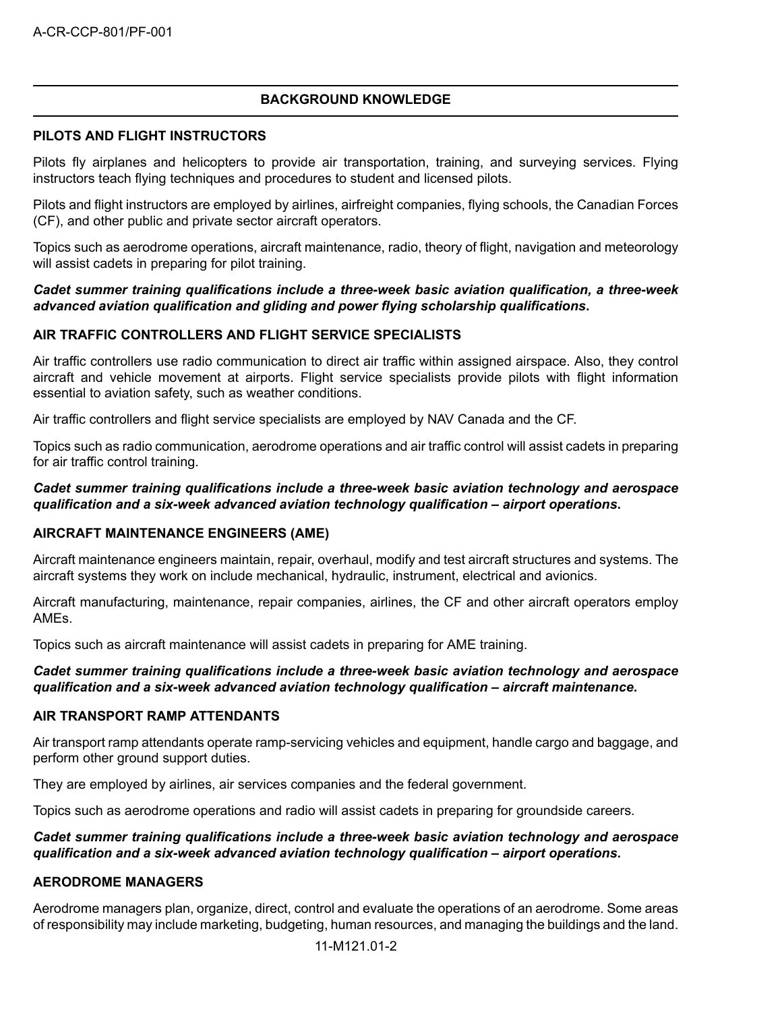#### **BACKGROUND KNOWLEDGE**

#### **PILOTS AND FLIGHT INSTRUCTORS**

Pilots fly airplanes and helicopters to provide air transportation, training, and surveying services. Flying instructors teach flying techniques and procedures to student and licensed pilots.

Pilots and flight instructors are employed by airlines, airfreight companies, flying schools, the Canadian Forces (CF), and other public and private sector aircraft operators.

Topics such as aerodrome operations, aircraft maintenance, radio, theory of flight, navigation and meteorology will assist cadets in preparing for pilot training.

#### *Cadet summer training qualifications include a three-week basic aviation qualification, a three-week advanced aviation qualification and gliding and power flying scholarship qualifications***.**

#### **AIR TRAFFIC CONTROLLERS AND FLIGHT SERVICE SPECIALISTS**

Air traffic controllers use radio communication to direct air traffic within assigned airspace. Also, they control aircraft and vehicle movement at airports. Flight service specialists provide pilots with flight information essential to aviation safety, such as weather conditions.

Air traffic controllers and flight service specialists are employed by NAV Canada and the CF.

Topics such as radio communication, aerodrome operations and air traffic control will assist cadets in preparing for air traffic control training.

#### *Cadet summer training qualifications include a three-week basic aviation technology and aerospace qualification and a six-week advanced aviation technology qualification – airport operations***.**

#### **AIRCRAFT MAINTENANCE ENGINEERS (AME)**

Aircraft maintenance engineers maintain, repair, overhaul, modify and test aircraft structures and systems. The aircraft systems they work on include mechanical, hydraulic, instrument, electrical and avionics.

Aircraft manufacturing, maintenance, repair companies, airlines, the CF and other aircraft operators employ AMEs.

Topics such as aircraft maintenance will assist cadets in preparing for AME training.

#### *Cadet summer training qualifications include a three-week basic aviation technology and aerospace qualification and a six-week advanced aviation technology qualification – aircraft maintenance***.**

#### **AIR TRANSPORT RAMP ATTENDANTS**

Air transport ramp attendants operate ramp-servicing vehicles and equipment, handle cargo and baggage, and perform other ground support duties.

They are employed by airlines, air services companies and the federal government.

Topics such as aerodrome operations and radio will assist cadets in preparing for groundside careers.

#### *Cadet summer training qualifications include a three-week basic aviation technology and aerospace qualification and a six-week advanced aviation technology qualification – airport operations***.**

#### **AERODROME MANAGERS**

Aerodrome managers plan, organize, direct, control and evaluate the operations of an aerodrome. Some areas of responsibility may include marketing, budgeting, human resources, and managing the buildings and the land.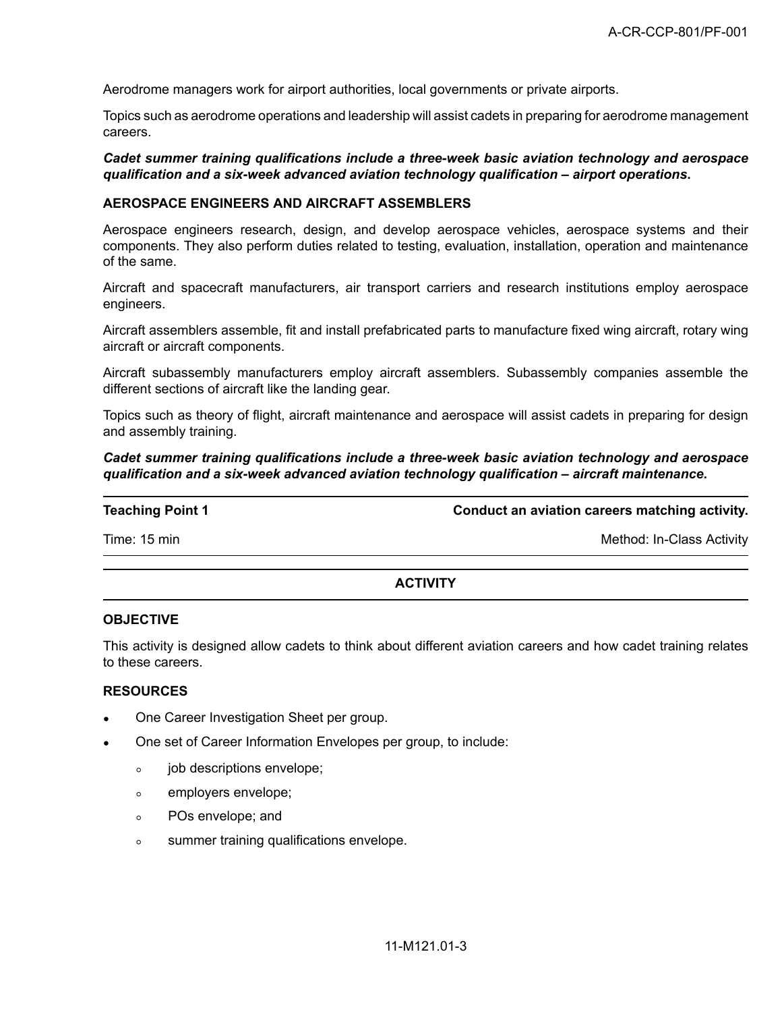Aerodrome managers work for airport authorities, local governments or private airports.

Topics such as aerodrome operations and leadership will assist cadets in preparing for aerodrome management careers.

*Cadet summer training qualifications include a three-week basic aviation technology and aerospace qualification and a six-week advanced aviation technology qualification – airport operations***.**

#### **AEROSPACE ENGINEERS AND AIRCRAFT ASSEMBLERS**

Aerospace engineers research, design, and develop aerospace vehicles, aerospace systems and their components. They also perform duties related to testing, evaluation, installation, operation and maintenance of the same.

Aircraft and spacecraft manufacturers, air transport carriers and research institutions employ aerospace engineers.

Aircraft assemblers assemble, fit and install prefabricated parts to manufacture fixed wing aircraft, rotary wing aircraft or aircraft components.

Aircraft subassembly manufacturers employ aircraft assemblers. Subassembly companies assemble the different sections of aircraft like the landing gear.

Topics such as theory of flight, aircraft maintenance and aerospace will assist cadets in preparing for design and assembly training.

*Cadet summer training qualifications include a three-week basic aviation technology and aerospace qualification and a six-week advanced aviation technology qualification – aircraft maintenance***.**

**Teaching Point 1 Conduct an aviation careers matching activity.**

Time: 15 min Method: In-Class Activity

## **ACTIVITY**

#### **OBJECTIVE**

This activity is designed allow cadets to think about different aviation careers and how cadet training relates to these careers.

#### **RESOURCES**

- One Career Investigation Sheet per group.
- One set of Career Information Envelopes per group, to include:
	- $\circ$ job descriptions envelope;
	- employers envelope;
	- POs envelope; and
	- summer training qualifications envelope.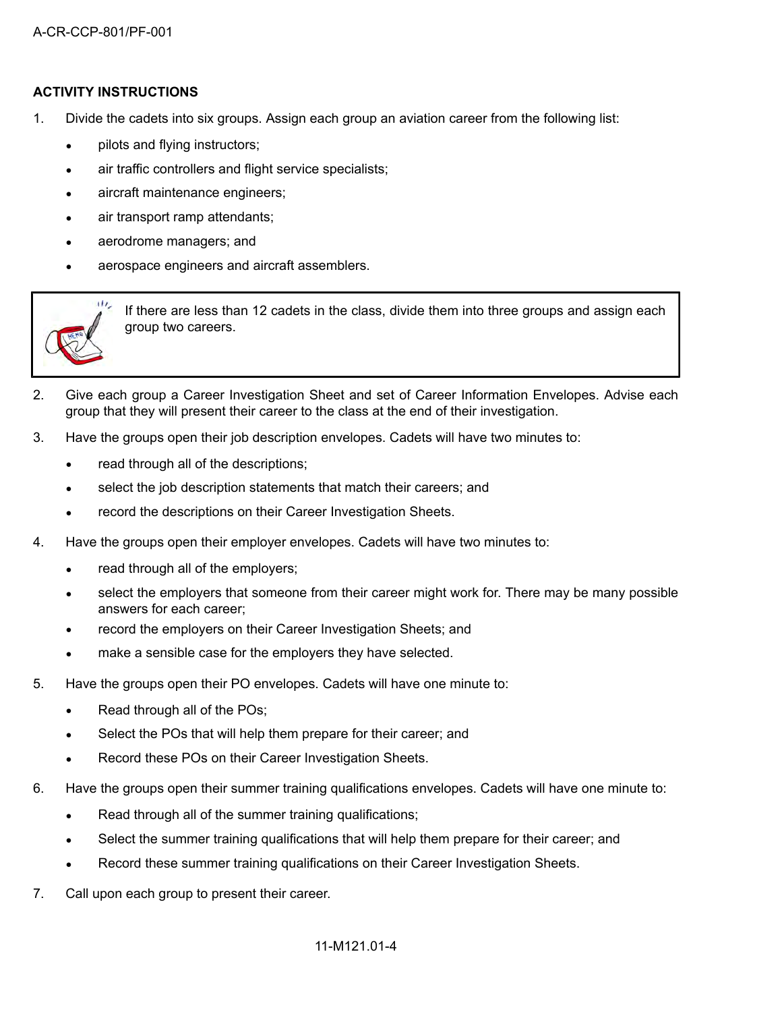## **ACTIVITY INSTRUCTIONS**

- 1. Divide the cadets into six groups. Assign each group an aviation career from the following list:
	- pilots and flying instructors;
	- air traffic controllers and flight service specialists;
	- aircraft maintenance engineers;
	- air transport ramp attendants;
	- aerodrome managers; and
	- aerospace engineers and aircraft assemblers.



If there are less than 12 cadets in the class, divide them into three groups and assign each group two careers.

- 2. Give each group a Career Investigation Sheet and set of Career Information Envelopes. Advise each group that they will present their career to the class at the end of their investigation.
- 3. Have the groups open their job description envelopes. Cadets will have two minutes to:
	- read through all of the descriptions;
	- select the job description statements that match their careers; and
	- record the descriptions on their Career Investigation Sheets.
- 4. Have the groups open their employer envelopes. Cadets will have two minutes to:
	- read through all of the employers;
	- select the employers that someone from their career might work for. There may be many possible answers for each career;
	- record the employers on their Career Investigation Sheets; and
	- make a sensible case for the employers they have selected.
- 5. Have the groups open their PO envelopes. Cadets will have one minute to:
	- Read through all of the POs;
	- Select the POs that will help them prepare for their career; and
	- Record these POs on their Career Investigation Sheets.
- 6. Have the groups open their summer training qualifications envelopes. Cadets will have one minute to:
	- Read through all of the summer training qualifications;
	- Select the summer training qualifications that will help them prepare for their career; and
	- Record these summer training qualifications on their Career Investigation Sheets.
- 7. Call upon each group to present their career.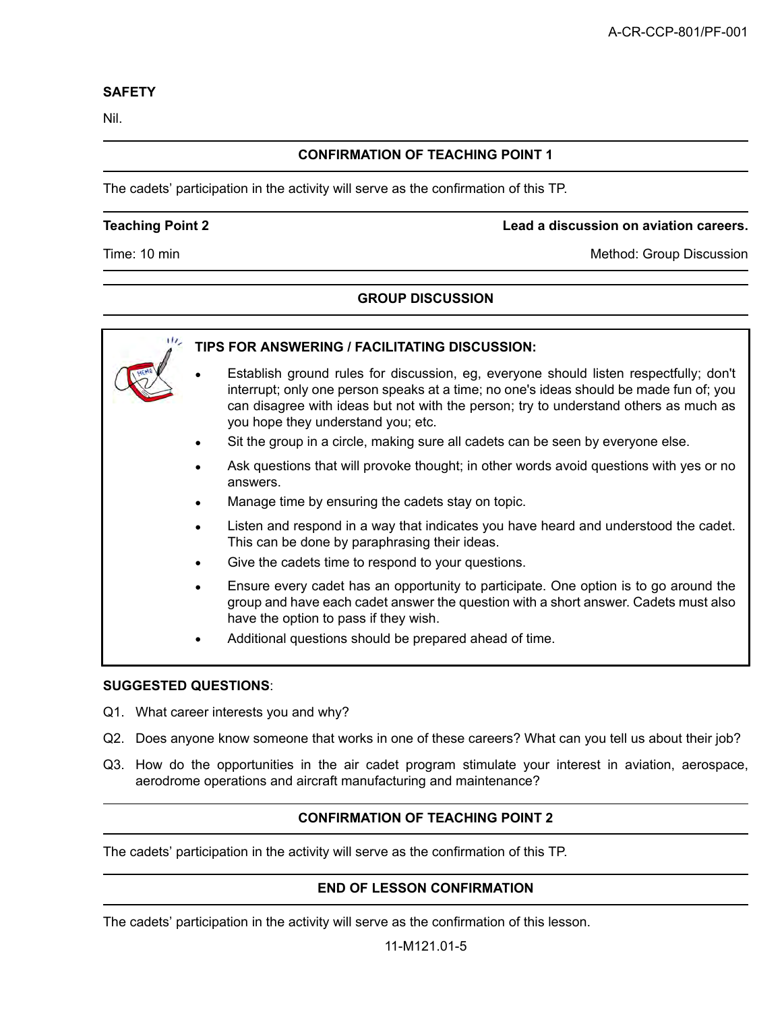### **SAFETY**

Nil.

## **CONFIRMATION OF TEACHING POINT 1**

The cadets' participation in the activity will serve as the confirmation of this TP.

#### **Teaching Point 2 Lead a discussion on aviation careers.**

# Time: 10 min Method: Group Discussion

## **GROUP DISCUSSION**



#### **SUGGESTED QUESTIONS**:

- Q1. What career interests you and why?
- Q2. Does anyone know someone that works in one of these careers? What can you tell us about their job?
- Q3. How do the opportunities in the air cadet program stimulate your interest in aviation, aerospace, aerodrome operations and aircraft manufacturing and maintenance?

## **CONFIRMATION OF TEACHING POINT 2**

The cadets' participation in the activity will serve as the confirmation of this TP.

## **END OF LESSON CONFIRMATION**

The cadets' participation in the activity will serve as the confirmation of this lesson.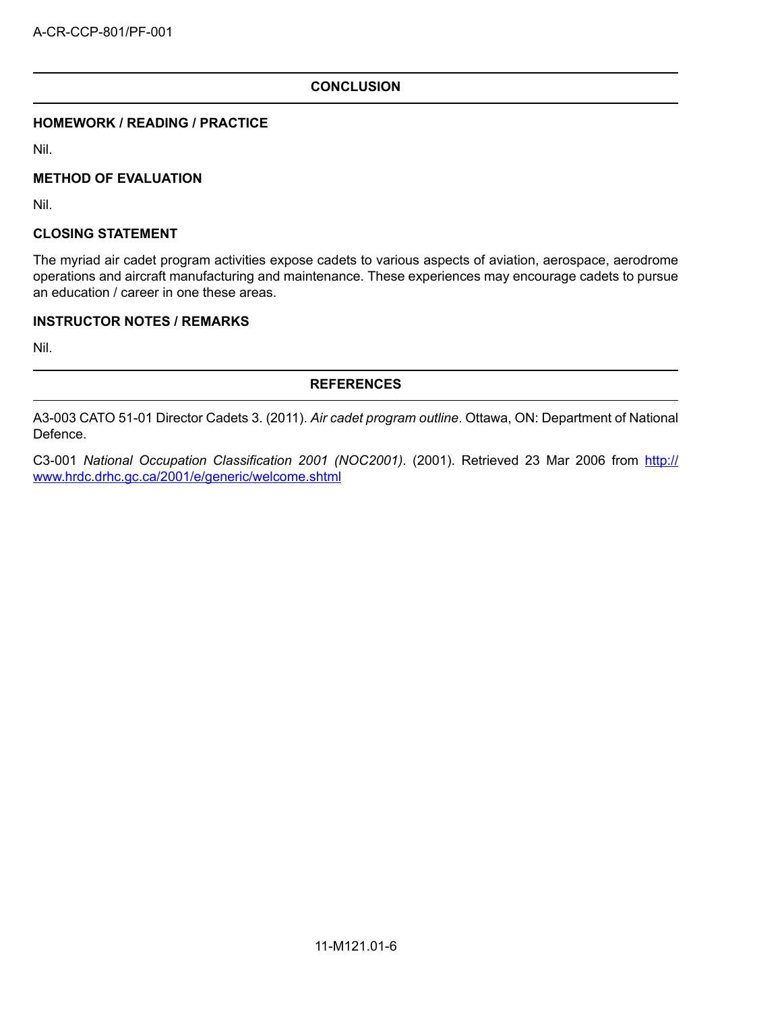## **CONCLUSION**

#### **HOMEWORK / READING / PRACTICE**

Nil.

## **METHOD OF EVALUATION**

Nil.

#### **CLOSING STATEMENT**

The myriad air cadet program activities expose cadets to various aspects of aviation, aerospace, aerodrome operations and aircraft manufacturing and maintenance. These experiences may encourage cadets to pursue an education / career in one these areas.

#### **INSTRUCTOR NOTES / REMARKS**

Nil.

## **REFERENCES**

A3-003 CATO 51-01 Director Cadets 3. (2011). *Air cadet program outline*. Ottawa, ON: Department of National Defence.

C3-001 *National Occupation Classification 2001 (NOC2001)*. (2001). Retrieved 23 Mar 2006 from http:// www.hrdc.drhc.gc.ca/2001/e/generic/welcome.shtml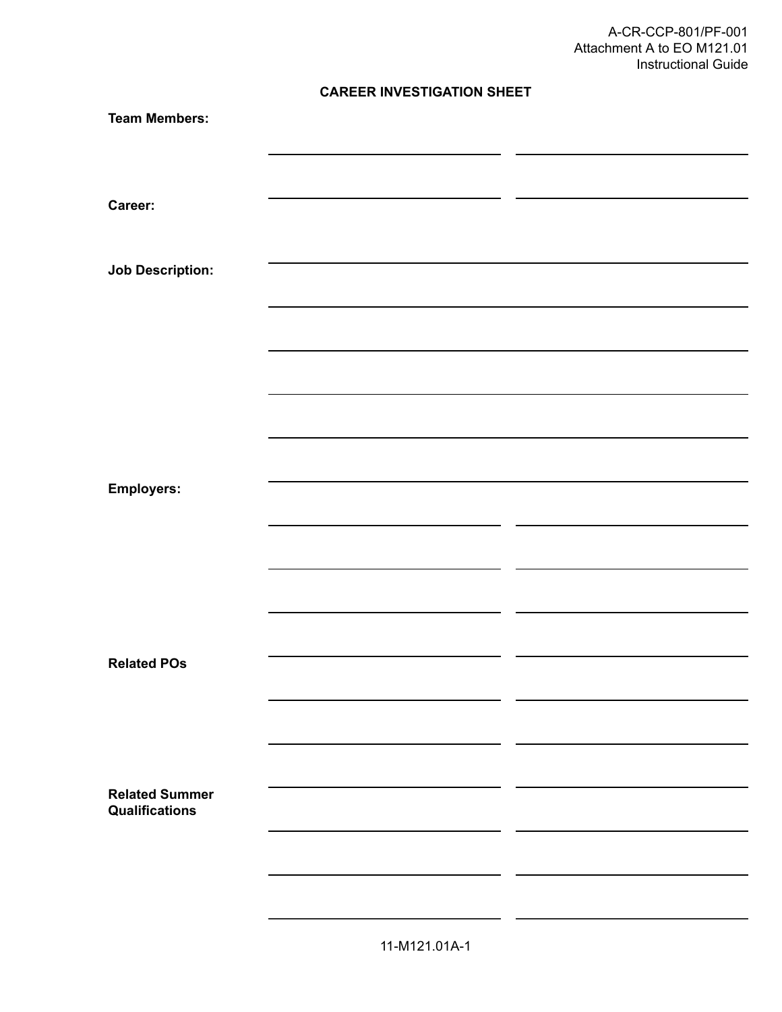## **CAREER INVESTIGATION SHEET**

| <b>Team Members:</b>                           |  |
|------------------------------------------------|--|
|                                                |  |
| Career:                                        |  |
| <b>Job Description:</b>                        |  |
|                                                |  |
|                                                |  |
|                                                |  |
| <b>Employers:</b>                              |  |
|                                                |  |
|                                                |  |
|                                                |  |
| <b>Related POs</b>                             |  |
|                                                |  |
|                                                |  |
| <b>Related Summer</b><br><b>Qualifications</b> |  |
|                                                |  |
|                                                |  |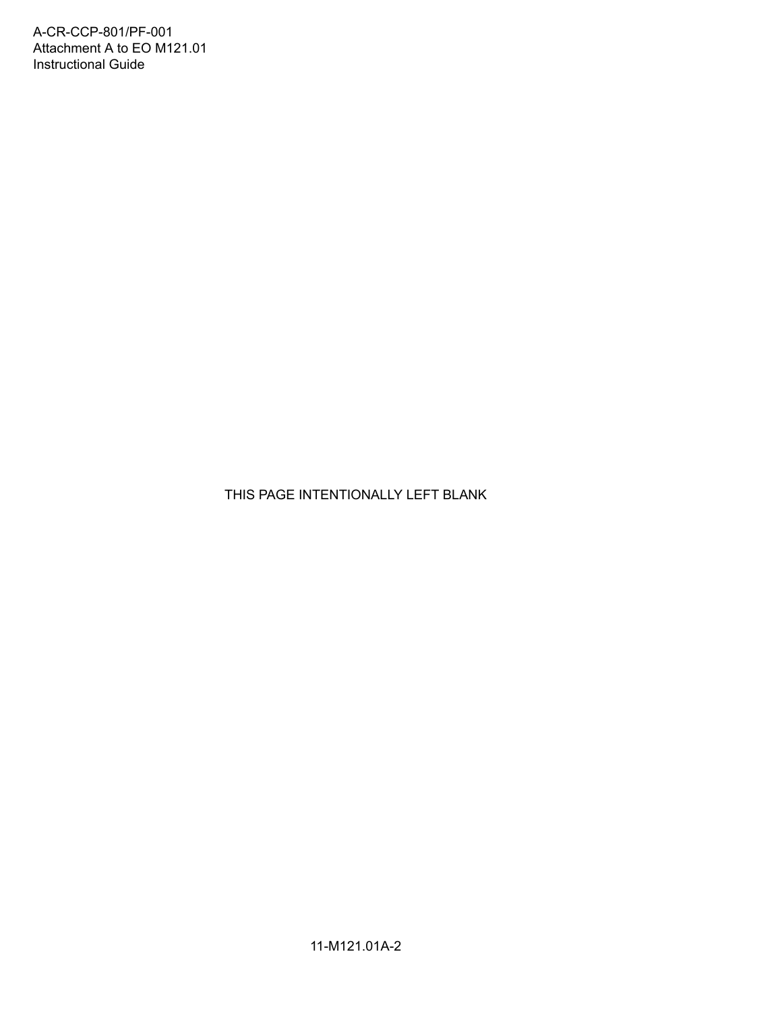A-CR-CCP-801/PF-001 Attachment A to EO M121.01 Instructional Guide

THIS PAGE INTENTIONALLY LEFT BLANK

11-M121.01A-2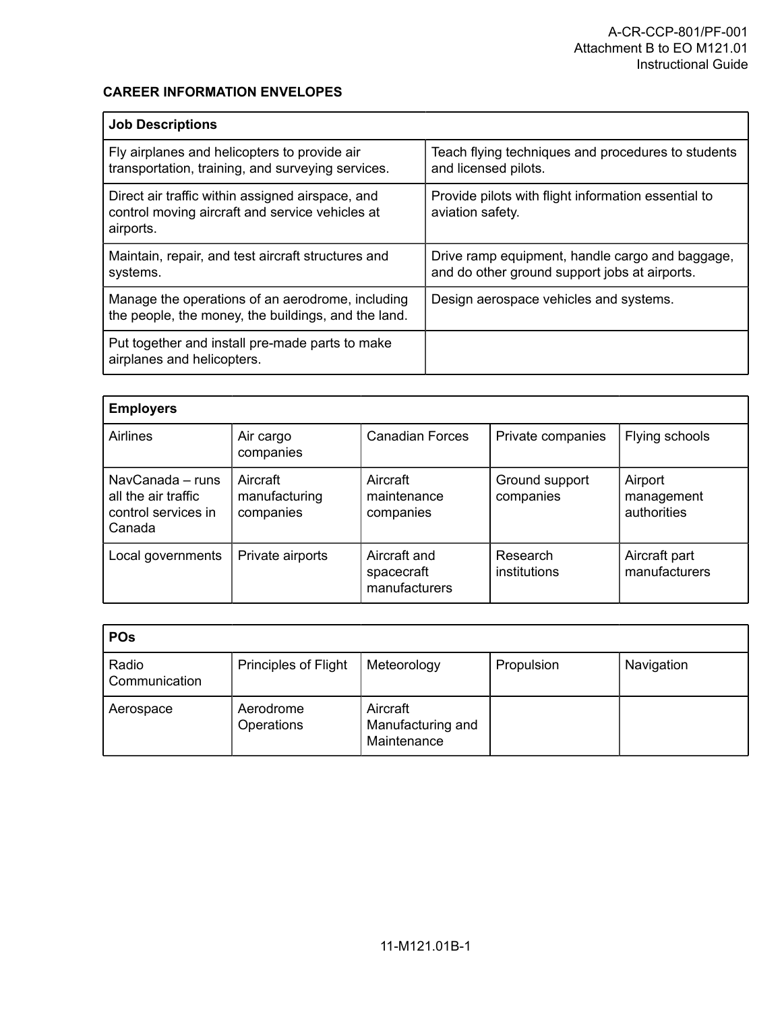## **CAREER INFORMATION ENVELOPES**

| <b>Job Descriptions</b>                                                                                          |                                                                                                  |
|------------------------------------------------------------------------------------------------------------------|--------------------------------------------------------------------------------------------------|
| Fly airplanes and helicopters to provide air<br>transportation, training, and surveying services.                | Teach flying techniques and procedures to students<br>and licensed pilots.                       |
| Direct air traffic within assigned airspace, and<br>control moving aircraft and service vehicles at<br>airports. | Provide pilots with flight information essential to<br>aviation safety.                          |
| Maintain, repair, and test aircraft structures and<br>systems.                                                   | Drive ramp equipment, handle cargo and baggage,<br>and do other ground support jobs at airports. |
| Manage the operations of an aerodrome, including<br>the people, the money, the buildings, and the land.          | Design aerospace vehicles and systems.                                                           |
| Put together and install pre-made parts to make<br>airplanes and helicopters.                                    |                                                                                                  |

| <b>Employers</b>                                                         |                                        |                                             |                             |                                      |
|--------------------------------------------------------------------------|----------------------------------------|---------------------------------------------|-----------------------------|--------------------------------------|
| <b>Airlines</b>                                                          | Air cargo<br>companies                 | <b>Canadian Forces</b>                      | Private companies           | Flying schools                       |
| NavCanada - runs<br>all the air traffic<br>control services in<br>Canada | Aircraft<br>manufacturing<br>companies | Aircraft<br>maintenance<br>companies        | Ground support<br>companies | Airport<br>management<br>authorities |
| Local governments                                                        | Private airports                       | Aircraft and<br>spacecraft<br>manufacturers | Research<br>institutions    | Aircraft part<br>manufacturers       |

| <b>POS</b>             |                             |                                              |            |            |
|------------------------|-----------------------------|----------------------------------------------|------------|------------|
| Radio<br>Communication | <b>Principles of Flight</b> | Meteorology                                  | Propulsion | Navigation |
| Aerospace              | Aerodrome<br>Operations     | Aircraft<br>Manufacturing and<br>Maintenance |            |            |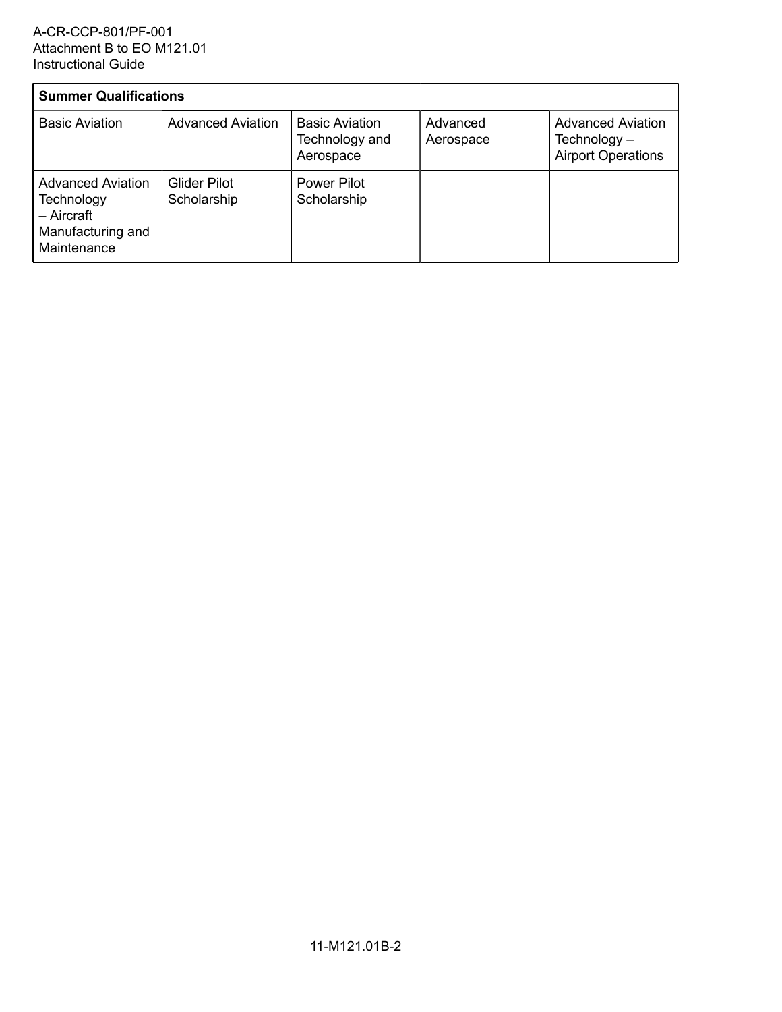## A-CR-CCP-801/PF-001 Attachment B to EO M121.01 Instructional Guide

| <b>Summer Qualifications</b>                                                             |                             |                                                      |                       |                                                                       |  |
|------------------------------------------------------------------------------------------|-----------------------------|------------------------------------------------------|-----------------------|-----------------------------------------------------------------------|--|
| <b>Basic Aviation</b>                                                                    | <b>Advanced Aviation</b>    | <b>Basic Aviation</b><br>Technology and<br>Aerospace | Advanced<br>Aerospace | <b>Advanced Aviation</b><br>Technology -<br><b>Airport Operations</b> |  |
| <b>Advanced Aviation</b><br>Technology<br>- Aircraft<br>Manufacturing and<br>Maintenance | Glider Pilot<br>Scholarship | <b>Power Pilot</b><br>Scholarship                    |                       |                                                                       |  |